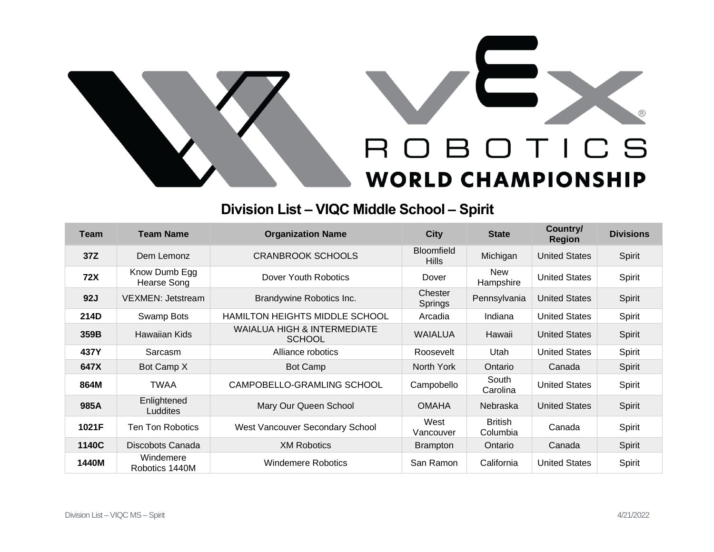

## **Division List – VIQC Middle School – Spirit**

| <b>Team</b> | <b>Team Name</b>               | <b>Organization Name</b>                                | <b>City</b>                       | <b>State</b>               | Country/<br><b>Region</b> | <b>Divisions</b> |
|-------------|--------------------------------|---------------------------------------------------------|-----------------------------------|----------------------------|---------------------------|------------------|
| 37Z         | Dem Lemonz                     | <b>CRANBROOK SCHOOLS</b>                                | <b>Bloomfield</b><br><b>Hills</b> | Michigan                   | <b>United States</b>      | Spirit           |
| <b>72X</b>  | Know Dumb Egg<br>Hearse Song   | Dover Youth Robotics                                    | Dover                             | <b>New</b><br>Hampshire    | <b>United States</b>      | Spirit           |
| 92J         | <b>VEXMEN: Jetstream</b>       | Brandywine Robotics Inc.                                | Chester<br>Springs                | Pennsylvania               | <b>United States</b>      | Spirit           |
| 214D        | Swamp Bots                     | <b>HAMILTON HEIGHTS MIDDLE SCHOOL</b>                   | Arcadia                           | Indiana                    | <b>United States</b>      | Spirit           |
| 359B        | Hawaiian Kids                  | <b>WAIALUA HIGH &amp; INTERMEDIATE</b><br><b>SCHOOL</b> | <b>WAIALUA</b>                    | Hawaii                     | <b>United States</b>      | Spirit           |
| 437Y        | Sarcasm                        | Alliance robotics                                       | Roosevelt                         | Utah                       | <b>United States</b>      | Spirit           |
| 647X        | Bot Camp X                     | <b>Bot Camp</b>                                         | North York                        | Ontario                    | Canada                    | Spirit           |
| 864M        | <b>TWAA</b>                    | CAMPOBELLO-GRAMLING SCHOOL                              | Campobello                        | South<br>Carolina          | <b>United States</b>      | Spirit           |
| 985A        | Enlightened<br><b>Luddites</b> | Mary Our Queen School                                   | <b>OMAHA</b>                      | Nebraska                   | <b>United States</b>      | Spirit           |
| 1021F       | Ten Ton Robotics               | West Vancouver Secondary School                         | West<br>Vancouver                 | <b>British</b><br>Columbia | Canada                    | Spirit           |
| 1140C       | Discobots Canada               | <b>XM Robotics</b>                                      | <b>Brampton</b>                   | Ontario                    | Canada                    | Spirit           |
| 1440M       | Windemere<br>Robotics 1440M    | <b>Windemere Robotics</b>                               | San Ramon                         | California                 | <b>United States</b>      | Spirit           |

 $^{\circledR}$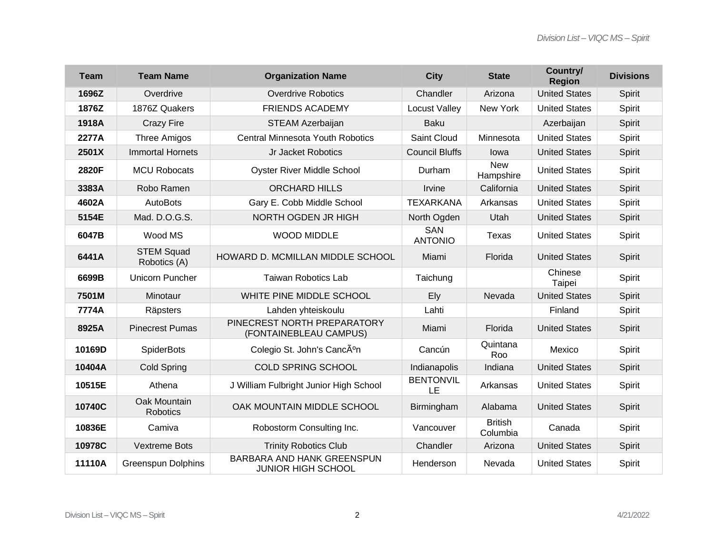| <b>Team</b> | <b>Team Name</b>                  | <b>Organization Name</b>                                | <b>City</b>            | <b>State</b>               | Country/<br><b>Region</b> | <b>Divisions</b> |
|-------------|-----------------------------------|---------------------------------------------------------|------------------------|----------------------------|---------------------------|------------------|
| 1696Z       | Overdrive                         | <b>Overdrive Robotics</b>                               | Chandler               | Arizona                    | <b>United States</b>      | Spirit           |
| 1876Z       | 1876Z Quakers                     | <b>FRIENDS ACADEMY</b>                                  | <b>Locust Valley</b>   | New York                   | <b>United States</b>      | Spirit           |
| 1918A       | <b>Crazy Fire</b>                 | STEAM Azerbaijan                                        | <b>Baku</b>            |                            | Azerbaijan                | Spirit           |
| 2277A       | <b>Three Amigos</b>               | Central Minnesota Youth Robotics                        | Saint Cloud            | Minnesota                  | <b>United States</b>      | Spirit           |
| 2501X       | <b>Immortal Hornets</b>           | Jr Jacket Robotics                                      | <b>Council Bluffs</b>  | lowa                       | <b>United States</b>      | Spirit           |
| 2820F       | <b>MCU Robocats</b>               | <b>Oyster River Middle School</b>                       | Durham                 | <b>New</b><br>Hampshire    | <b>United States</b>      | Spirit           |
| 3383A       | Robo Ramen                        | <b>ORCHARD HILLS</b>                                    | Irvine                 | California                 | <b>United States</b>      | Spirit           |
| 4602A       | <b>AutoBots</b>                   | Gary E. Cobb Middle School                              | <b>TEXARKANA</b>       | Arkansas                   | <b>United States</b>      | Spirit           |
| 5154E       | Mad. D.O.G.S.                     | NORTH OGDEN JR HIGH                                     | North Ogden            | Utah                       | <b>United States</b>      | Spirit           |
| 6047B       | Wood MS                           | <b>WOOD MIDDLE</b>                                      | SAN<br><b>ANTONIO</b>  | Texas                      | <b>United States</b>      | Spirit           |
| 6441A       | <b>STEM Squad</b><br>Robotics (A) | HOWARD D. MCMILLAN MIDDLE SCHOOL                        | Miami                  | Florida                    | <b>United States</b>      | Spirit           |
| 6699B       | Unicorn Puncher                   | <b>Taiwan Robotics Lab</b>                              | Taichung               |                            | Chinese<br>Taipei         | Spirit           |
| 7501M       | Minotaur                          | WHITE PINE MIDDLE SCHOOL                                | Ely                    | Nevada                     | <b>United States</b>      | Spirit           |
| 7774A       | Räpsters                          | Lahden yhteiskoulu                                      | Lahti                  |                            | Finland                   | Spirit           |
| 8925A       | <b>Pinecrest Pumas</b>            | PINECREST NORTH PREPARATORY<br>(FONTAINEBLEAU CAMPUS)   | Miami                  | Florida                    | <b>United States</b>      | Spirit           |
| 10169D      | <b>SpiderBots</b>                 | Colegio St. John's Cancún                               | Cancún                 | Quintana<br>Roo            | Mexico                    | Spirit           |
| 10404A      | <b>Cold Spring</b>                | <b>COLD SPRING SCHOOL</b>                               | Indianapolis           | Indiana                    | <b>United States</b>      | Spirit           |
| 10515E      | Athena                            | J William Fulbright Junior High School                  | <b>BENTONVIL</b><br>LE | Arkansas                   | <b>United States</b>      | Spirit           |
| 10740C      | Oak Mountain<br>Robotics          | OAK MOUNTAIN MIDDLE SCHOOL                              | Birmingham             | Alabama                    | <b>United States</b>      | Spirit           |
| 10836E      | Camiva                            | Robostorm Consulting Inc.                               | Vancouver              | <b>British</b><br>Columbia | Canada                    | Spirit           |
| 10978C      | <b>Vextreme Bots</b>              | <b>Trinity Robotics Club</b>                            | Chandler               | Arizona                    | <b>United States</b>      | Spirit           |
| 11110A      | <b>Greenspun Dolphins</b>         | BARBARA AND HANK GREENSPUN<br><b>JUNIOR HIGH SCHOOL</b> | Henderson              | Nevada                     | <b>United States</b>      | Spirit           |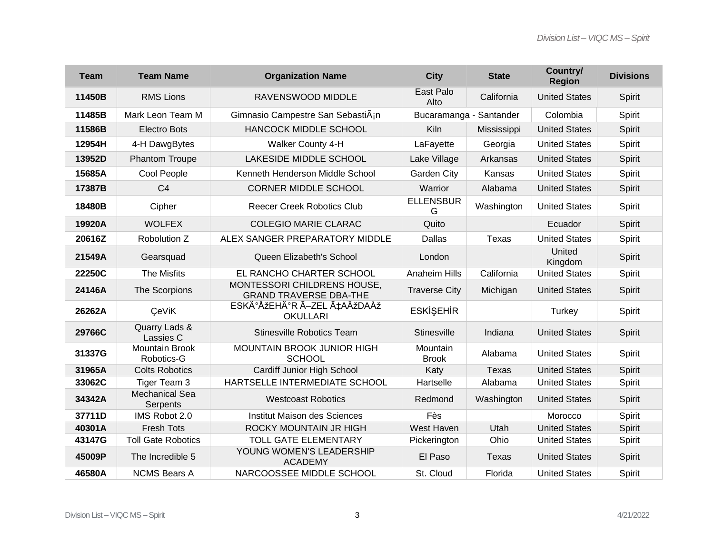| <b>Team</b> | <b>Team Name</b>                    | <b>Organization Name</b>                                     | <b>City</b>              | <b>State</b> | Country/<br><b>Region</b> | <b>Divisions</b> |
|-------------|-------------------------------------|--------------------------------------------------------------|--------------------------|--------------|---------------------------|------------------|
| 11450B      | <b>RMS Lions</b>                    | RAVENSWOOD MIDDLE                                            | East Palo<br>Alto        | California   | <b>United States</b>      | Spirit           |
| 11485B      | Mark Leon Team M                    | Gimnasio Campestre San Sebasti $\tilde{A}$ in                | Bucaramanga - Santander  |              | Colombia                  | Spirit           |
| 11586B      | <b>Electro Bots</b>                 | <b>HANCOCK MIDDLE SCHOOL</b>                                 | <b>Kiln</b>              | Mississippi  | <b>United States</b>      | Spirit           |
| 12954H      | 4-H DawgBytes                       | <b>Walker County 4-H</b>                                     | LaFayette                | Georgia      | <b>United States</b>      | Spirit           |
| 13952D      | <b>Phantom Troupe</b>               | LAKESIDE MIDDLE SCHOOL                                       | Lake Village             | Arkansas     | <b>United States</b>      | Spirit           |
| 15685A      | Cool People                         | Kenneth Henderson Middle School                              | Garden City              | Kansas       | <b>United States</b>      | Spirit           |
| 17387B      | C <sub>4</sub>                      | <b>CORNER MIDDLE SCHOOL</b>                                  | Warrior                  | Alabama      | <b>United States</b>      | Spirit           |
| 18480B      | Cipher                              | <b>Reecer Creek Robotics Club</b>                            | <b>ELLENSBUR</b><br>G    | Washington   | <b>United States</b>      | Spirit           |
| 19920A      | <b>WOLFEX</b>                       | <b>COLEGIO MARIE CLARAC</b>                                  | Quito                    |              | Ecuador                   | Spirit           |
| 20616Z      | Robolution Z                        | ALEX SANGER PREPARATORY MIDDLE                               | Dallas                   | <b>Texas</b> | <b>United States</b>      | Spirit           |
| 21549A      | Gearsquad                           | Queen Elizabeth's School                                     | London                   |              | United<br>Kingdom         | Spirit           |
| 22250C      | The Misfits                         | EL RANCHO CHARTER SCHOOL                                     | <b>Anaheim Hills</b>     | California   | <b>United States</b>      | Spirit           |
| 24146A      | The Scorpions                       | MONTESSORI CHILDRENS HOUSE,<br><b>GRAND TRAVERSE DBA-THE</b> | <b>Traverse City</b>     | Michigan     | <b>United States</b>      | Spirit           |
| 26262A      | <b>ÇeViK</b>                        | ESKİŞEHİR ÖZEL ÇAĞDAŞ<br><b>OKULLARI</b>                     | <b>ESKİŞEHİR</b>         |              | <b>Turkey</b>             | Spirit           |
| 29766C      | Quarry Lads &<br>Lassies C          | <b>Stinesville Robotics Team</b>                             | Stinesville              | Indiana      | <b>United States</b>      | Spirit           |
| 31337G      | <b>Mountain Brook</b><br>Robotics-G | <b>MOUNTAIN BROOK JUNIOR HIGH</b><br><b>SCHOOL</b>           | Mountain<br><b>Brook</b> | Alabama      | <b>United States</b>      | Spirit           |
| 31965A      | <b>Colts Robotics</b>               | Cardiff Junior High School                                   | Katy                     | <b>Texas</b> | <b>United States</b>      | Spirit           |
| 33062C      | Tiger Team 3                        | HARTSELLE INTERMEDIATE SCHOOL                                | Hartselle                | Alabama      | <b>United States</b>      | Spirit           |
| 34342A      | <b>Mechanical Sea</b><br>Serpents   | <b>Westcoast Robotics</b>                                    | Redmond                  | Washington   | <b>United States</b>      | Spirit           |
| 37711D      | IMS Robot 2.0                       | Institut Maison des Sciences                                 | Fès                      |              | Morocco                   | Spirit           |
| 40301A      | <b>Fresh Tots</b>                   | ROCKY MOUNTAIN JR HIGH                                       | West Haven               | Utah         | <b>United States</b>      | Spirit           |
| 43147G      | <b>Toll Gate Robotics</b>           | <b>TOLL GATE ELEMENTARY</b>                                  | Pickerington             | Ohio         | <b>United States</b>      | Spirit           |
| 45009P      | The Incredible 5                    | YOUNG WOMEN'S LEADERSHIP<br><b>ACADEMY</b>                   | El Paso                  | <b>Texas</b> | <b>United States</b>      | Spirit           |
| 46580A      | <b>NCMS Bears A</b>                 | NARCOOSSEE MIDDLE SCHOOL                                     | St. Cloud                | Florida      | <b>United States</b>      | Spirit           |